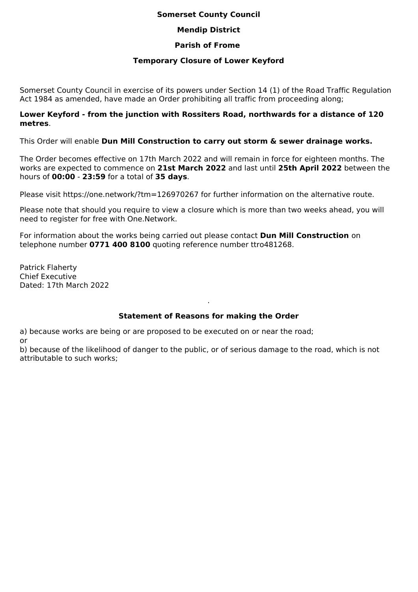## **Somerset County Council**

# **Mendip District**

# **Parish of Frome**

## **Temporary Closure of Lower Keyford**

Somerset County Council in exercise of its powers under Section 14 (1) of the Road Traffic Regulation Act 1984 as amended, have made an Order prohibiting all traffic from proceeding along;

#### **Lower Keyford - from the junction with Rossiters Road, northwards for a distance of 120 metres**.

This Order will enable **Dun Mill Construction to carry out storm & sewer drainage works.**

The Order becomes effective on 17th March 2022 and will remain in force for eighteen months. The works are expected to commence on **21st March 2022** and last until **25th April 2022** between the hours of **00:00** - **23:59** for a total of **35 days**.

Please visit https://one.network/?tm=126970267 for further information on the alternative route.

Please note that should you require to view a closure which is more than two weeks ahead, you will need to register for free with One.Network.

For information about the works being carried out please contact **Dun Mill Construction** on telephone number **0771 400 8100** quoting reference number ttro481268.

Patrick Flaherty Chief Executive Dated: 17th March 2022

# **Statement of Reasons for making the Order**

.

a) because works are being or are proposed to be executed on or near the road; or

b) because of the likelihood of danger to the public, or of serious damage to the road, which is not attributable to such works;